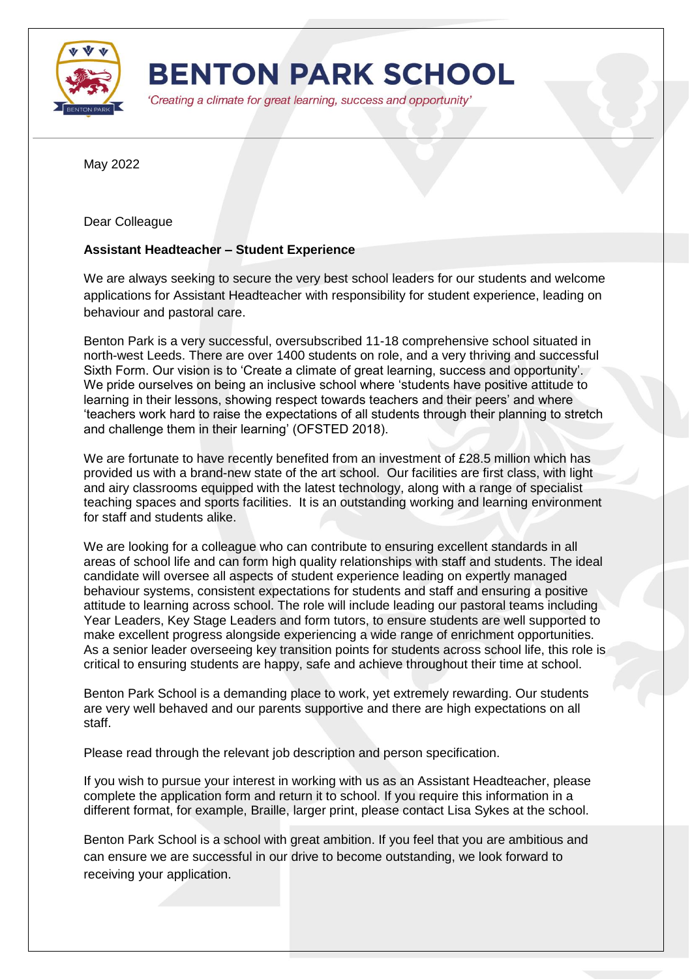

**BENTON PARK SCHOOL** 

'Creating a climate for great learning, success and opportunity'

May 2022

Dear Colleague

## **Assistant Headteacher – Student Experience**

We are always seeking to secure the very best school leaders for our students and welcome applications for Assistant Headteacher with responsibility for student experience, leading on behaviour and pastoral care.

Benton Park is a very successful, oversubscribed 11-18 comprehensive school situated in north-west Leeds. There are over 1400 students on role, and a very thriving and successful Sixth Form. Our vision is to 'Create a climate of great learning, success and opportunity'. We pride ourselves on being an inclusive school where 'students have positive attitude to learning in their lessons, showing respect towards teachers and their peers' and where 'teachers work hard to raise the expectations of all students through their planning to stretch and challenge them in their learning' (OFSTED 2018).

We are fortunate to have recently benefited from an investment of £28.5 million which has provided us with a brand-new state of the art school. Our facilities are first class, with light and airy classrooms equipped with the latest technology, along with a range of specialist teaching spaces and sports facilities. It is an outstanding working and learning environment for staff and students alike.

We are looking for a colleague who can contribute to ensuring excellent standards in all areas of school life and can form high quality relationships with staff and students. The ideal candidate will oversee all aspects of student experience leading on expertly managed behaviour systems, consistent expectations for students and staff and ensuring a positive attitude to learning across school. The role will include leading our pastoral teams including Year Leaders, Key Stage Leaders and form tutors, to ensure students are well supported to make excellent progress alongside experiencing a wide range of enrichment opportunities. As a senior leader overseeing key transition points for students across school life, this role is critical to ensuring students are happy, safe and achieve throughout their time at school.

Benton Park School is a demanding place to work, yet extremely rewarding. Our students are very well behaved and our parents supportive and there are high expectations on all staff.

Please read through the relevant job description and person specification.

If you wish to pursue your interest in working with us as an Assistant Headteacher, please complete the application form and return it to school. If you require this information in a different format, for example, Braille, larger print, please contact Lisa Sykes at the school.

Benton Park School is a school with great ambition. If you feel that you are ambitious and can ensure we are successful in our drive to become outstanding, we look forward to receiving your application.